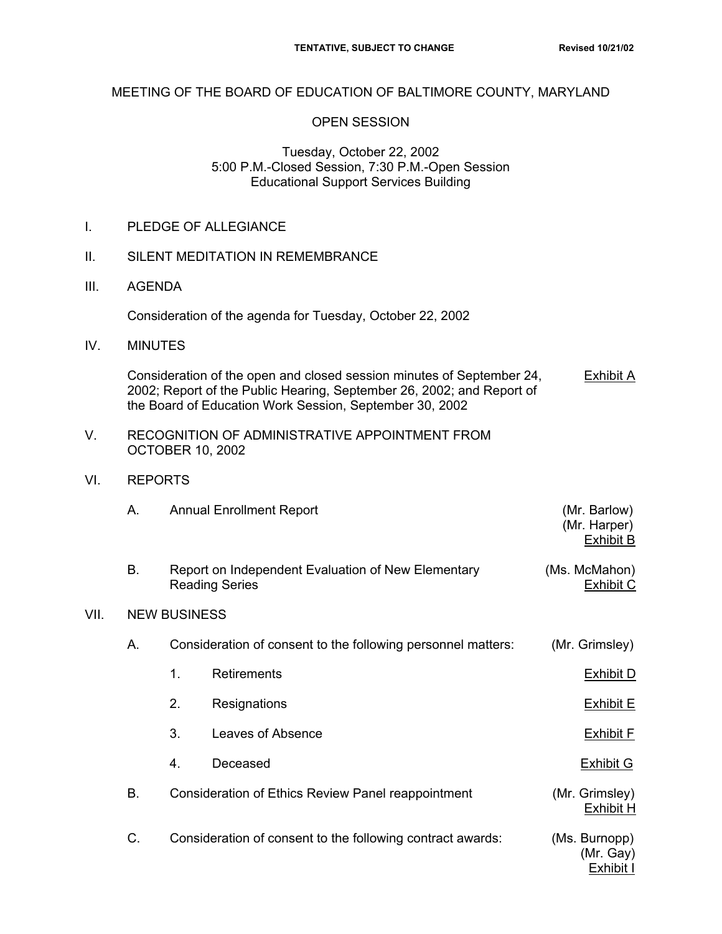## MEETING OF THE BOARD OF EDUCATION OF BALTIMORE COUNTY, MARYLAND

## OPEN SESSION

## Tuesday, October 22, 2002 5:00 P.M.-Closed Session, 7:30 P.M.-Open Session Educational Support Services Building

|  | PLEDGE OF ALLEGIANCE |
|--|----------------------|
|--|----------------------|

- II. SILENT MEDITATION IN REMEMBRANCE
- III. AGENDA

Consideration of the agenda for Tuesday, October 22, 2002

IV. MINUTES

Consideration of the open and closed session minutes of September 24, Exhibit A 2002; Report of the Public Hearing, September 26, 2002; and Report of the Board of Education Work Session, September 30, 2002

- V. RECOGNITION OF ADMINISTRATIVE APPOINTMENT FROM OCTOBER 10, 2002
- VI. REPORTS

 $VII.$ 

|      | А. |                                                    | <b>Annual Enrollment Report</b>                                             | (Mr. Barlow)<br>(Mr. Harper)<br><b>Exhibit B</b> |  |
|------|----|----------------------------------------------------|-----------------------------------------------------------------------------|--------------------------------------------------|--|
|      | В. |                                                    | Report on Independent Evaluation of New Elementary<br><b>Reading Series</b> | (Ms. McMahon)<br><b>Exhibit C</b>                |  |
| VII. |    | <b>NEW BUSINESS</b>                                |                                                                             |                                                  |  |
|      | Α. |                                                    | Consideration of consent to the following personnel matters:                | (Mr. Grimsley)                                   |  |
|      |    | $\mathbf{1}$ .                                     | <b>Retirements</b>                                                          | <b>Exhibit D</b>                                 |  |
|      |    | 2.                                                 | Resignations                                                                | <b>Exhibit E</b>                                 |  |
|      |    | 3.                                                 | Leaves of Absence                                                           | <b>Exhibit F</b>                                 |  |
|      |    | 4.                                                 | Deceased                                                                    | <b>Exhibit G</b>                                 |  |
|      | Β. | Consideration of Ethics Review Panel reappointment |                                                                             | (Mr. Grimsley)<br><b>Exhibit H</b>               |  |
|      | C. |                                                    | Consideration of consent to the following contract awards:                  | (Ms. Burnopp)<br>(Mr. Gay)<br>Exhibit I          |  |